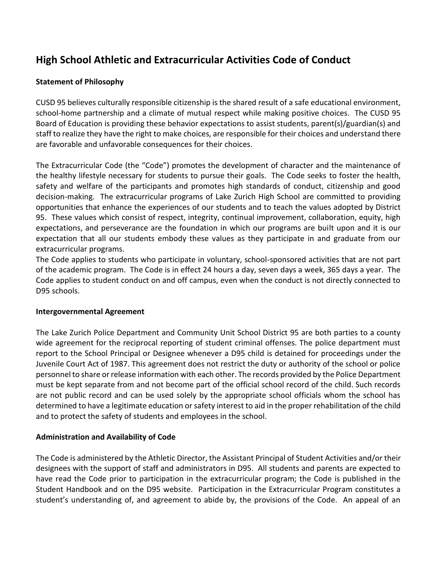# **High School Athletic and Extracurricular Activities Code of Conduct**

# **Statement of Philosophy**

CUSD 95 believes culturally responsible citizenship is the shared result of a safe educational environment, school-home partnership and a climate of mutual respect while making positive choices. The CUSD 95 Board of Education is providing these behavior expectations to assist students, parent(s)/guardian(s) and staff to realize they have the right to make choices, are responsible for their choices and understand there are favorable and unfavorable consequences for their choices.

The Extracurricular Code (the "Code") promotes the development of character and the maintenance of the healthy lifestyle necessary for students to pursue their goals. The Code seeks to foster the health, safety and welfare of the participants and promotes high standards of conduct, citizenship and good decision-making. The extracurricular programs of Lake Zurich High School are committed to providing opportunities that enhance the experiences of our students and to teach the values adopted by District 95. These values which consist of respect, integrity, continual improvement, collaboration, equity, high expectations, and perseverance are the foundation in which our programs are built upon and it is our expectation that all our students embody these values as they participate in and graduate from our extracurricular programs.

The Code applies to students who participate in voluntary, school-sponsored activities that are not part of the academic program. The Code is in effect 24 hours a day, seven days a week, 365 days a year. The Code applies to student conduct on and off campus, even when the conduct is not directly connected to D95 schools.

#### **Intergovernmental Agreement**

The Lake Zurich Police Department and Community Unit School District 95 are both parties to a county wide agreement for the reciprocal reporting of student criminal offenses. The police department must report to the School Principal or Designee whenever a D95 child is detained for proceedings under the Juvenile Court Act of 1987. This agreement does not restrict the duty or authority of the school or police personnel to share or release information with each other. The records provided by the Police Department must be kept separate from and not become part of the official school record of the child. Such records are not public record and can be used solely by the appropriate school officials whom the school has determined to have a legitimate education or safety interest to aid in the proper rehabilitation of the child and to protect the safety of students and employees in the school.

# **Administration and Availability of Code**

The Code is administered by the Athletic Director, the Assistant Principal of Student Activities and/or their designees with the support of staff and administrators in D95. All students and parents are expected to have read the Code prior to participation in the extracurricular program; the Code is published in the Student Handbook and on the D95 website. Participation in the Extracurricular Program constitutes a student's understanding of, and agreement to abide by, the provisions of the Code. An appeal of an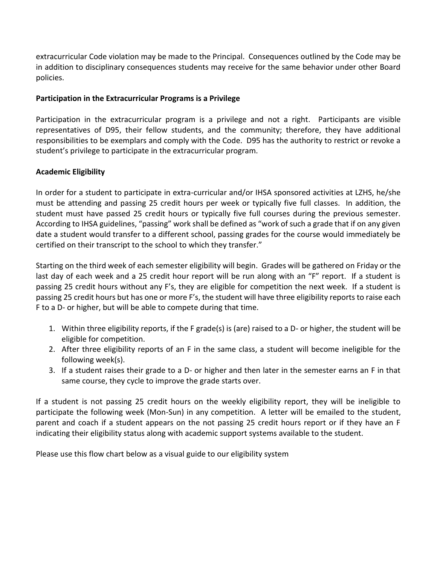extracurricular Code violation may be made to the Principal. Consequences outlined by the Code may be in addition to disciplinary consequences students may receive for the same behavior under other Board policies.

# **Participation in the Extracurricular Programs is a Privilege**

Participation in the extracurricular program is a privilege and not a right. Participants are visible representatives of D95, their fellow students, and the community; therefore, they have additional responsibilities to be exemplars and comply with the Code. D95 has the authority to restrict or revoke a student's privilege to participate in the extracurricular program.

# **Academic Eligibility**

In order for a student to participate in extra-curricular and/or IHSA sponsored activities at LZHS, he/she must be attending and passing 25 credit hours per week or typically five full classes. In addition, the student must have passed 25 credit hours or typically five full courses during the previous semester. According to IHSA guidelines, "passing" work shall be defined as "work of such a grade that if on any given date a student would transfer to a different school, passing grades for the course would immediately be certified on their transcript to the school to which they transfer."

Starting on the third week of each semester eligibility will begin. Grades will be gathered on Friday or the last day of each week and a 25 credit hour report will be run along with an "F" report. If a student is passing 25 credit hours without any F's, they are eligible for competition the next week. If a student is passing 25 credit hours but has one or more F's, the student will have three eligibility reports to raise each F to a D- or higher, but will be able to compete during that time.

- 1. Within three eligibility reports, if the F grade(s) is (are) raised to a D- or higher, the student will be eligible for competition.
- 2. After three eligibility reports of an F in the same class, a student will become ineligible for the following week(s).
- 3. If a student raises their grade to a D- or higher and then later in the semester earns an F in that same course, they cycle to improve the grade starts over.

If a student is not passing 25 credit hours on the weekly eligibility report, they will be ineligible to participate the following week (Mon-Sun) in any competition. A letter will be emailed to the student, parent and coach if a student appears on the not passing 25 credit hours report or if they have an F indicating their eligibility status along with academic support systems available to the student.

Please use this flow chart below as a visual guide to our eligibility system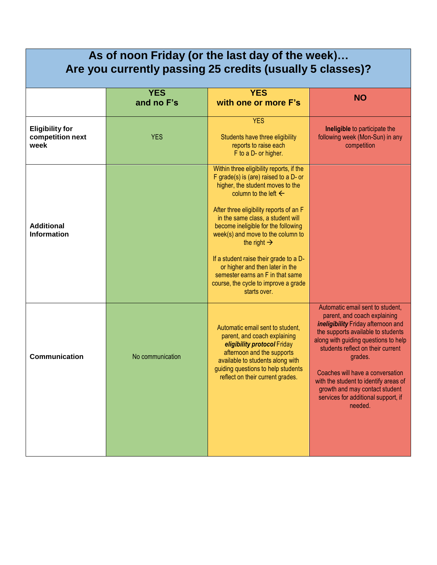# **As of noon Friday (or the last day of the week)… Are you currently passing 25 credits (usually 5 classes)?**

|                                                    | <b>YES</b>       | <b>YES</b>                                                                                                                                                                                                                                                                                                                                                                                                                                                                                                               |                                                                                                                                                                                                                                                                                                                                                                                                       |
|----------------------------------------------------|------------------|--------------------------------------------------------------------------------------------------------------------------------------------------------------------------------------------------------------------------------------------------------------------------------------------------------------------------------------------------------------------------------------------------------------------------------------------------------------------------------------------------------------------------|-------------------------------------------------------------------------------------------------------------------------------------------------------------------------------------------------------------------------------------------------------------------------------------------------------------------------------------------------------------------------------------------------------|
|                                                    | and no F's       | with one or more F's                                                                                                                                                                                                                                                                                                                                                                                                                                                                                                     | <b>NO</b>                                                                                                                                                                                                                                                                                                                                                                                             |
| <b>Eligibility for</b><br>competition next<br>week | <b>YES</b>       | <b>YES</b><br>Students have three eligibility<br>reports to raise each<br>F to a D- or higher.                                                                                                                                                                                                                                                                                                                                                                                                                           | Ineligible to participate the<br>following week (Mon-Sun) in any<br>competition                                                                                                                                                                                                                                                                                                                       |
| <b>Additional</b><br><b>Information</b>            |                  | Within three eligibility reports, if the<br>F grade(s) is (are) raised to a D- or<br>higher, the student moves to the<br>column to the left $\leftarrow$<br>After three eligibility reports of an F<br>in the same class, a student will<br>become ineligible for the following<br>week(s) and move to the column to<br>the right $\rightarrow$<br>If a student raise their grade to a D-<br>or higher and then later in the<br>semester earns an F in that same<br>course, the cycle to improve a grade<br>starts over. |                                                                                                                                                                                                                                                                                                                                                                                                       |
| <b>Communication</b>                               | No communication | Automatic email sent to student,<br>parent, and coach explaining<br>eligibility protocol Friday<br>afternoon and the supports<br>available to students along with<br>guiding questions to help students<br>reflect on their current grades.                                                                                                                                                                                                                                                                              | Automatic email sent to student,<br>parent, and coach explaining<br>ineligibility Friday afternoon and<br>the supports available to students<br>along with guiding questions to help<br>students reflect on their current<br>grades.<br>Coaches will have a conversation<br>with the student to identify areas of<br>growth and may contact student<br>services for additional support, if<br>needed. |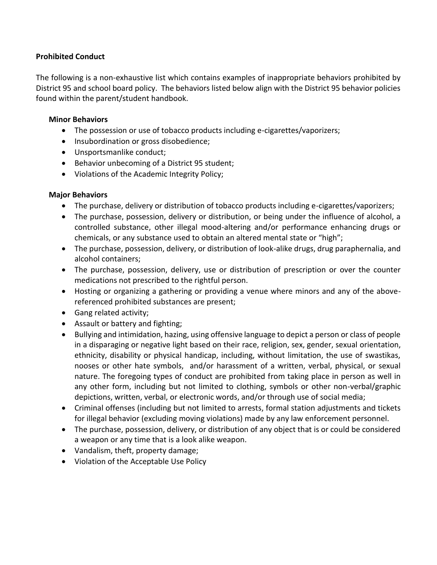#### **Prohibited Conduct**

The following is a non-exhaustive list which contains examples of inappropriate behaviors prohibited by District 95 and school board policy. The behaviors listed below align with the District 95 behavior policies found within the parent/student handbook.

#### **Minor Behaviors**

- The possession or use of tobacco products including e-cigarettes/vaporizers;
- Insubordination or gross disobedience;
- Unsportsmanlike conduct;
- Behavior unbecoming of a District 95 student;
- Violations of the Academic Integrity Policy;

# **Major Behaviors**

- The purchase, delivery or distribution of tobacco products including e-cigarettes/vaporizers;
- The purchase, possession, delivery or distribution, or being under the influence of alcohol, a controlled substance, other illegal mood-altering and/or performance enhancing drugs or chemicals, or any substance used to obtain an altered mental state or "high";
- The purchase, possession, delivery, or distribution of look-alike drugs, drug paraphernalia, and alcohol containers;
- The purchase, possession, delivery, use or distribution of prescription or over the counter medications not prescribed to the rightful person.
- Hosting or organizing a gathering or providing a venue where minors and any of the abovereferenced prohibited substances are present;
- Gang related activity;
- Assault or battery and fighting;
- Bullying and intimidation, hazing, using offensive language to depict a person or class of people in a disparaging or negative light based on their race, religion, sex, gender, sexual orientation, ethnicity, disability or physical handicap, including, without limitation, the use of swastikas, nooses or other hate symbols, and/or harassment of a written, verbal, physical, or sexual nature. The foregoing types of conduct are prohibited from taking place in person as well in any other form, including but not limited to clothing, symbols or other non-verbal/graphic depictions, written, verbal, or electronic words, and/or through use of social media;
- Criminal offenses (including but not limited to arrests, formal station adjustments and tickets for illegal behavior (excluding moving violations) made by any law enforcement personnel.
- The purchase, possession, delivery, or distribution of any object that is or could be considered a weapon or any time that is a look alike weapon.
- Vandalism, theft, property damage;
- Violation of the Acceptable Use Policy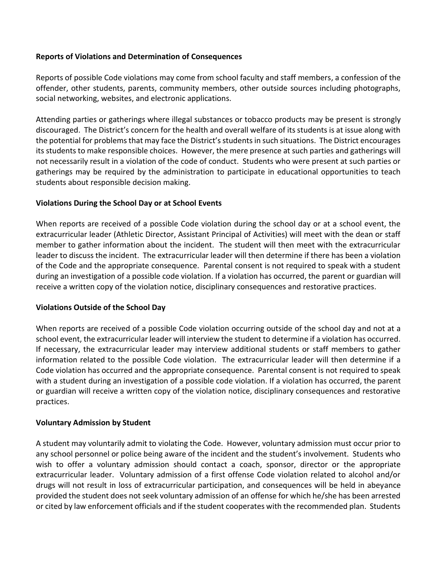#### **Reports of Violations and Determination of Consequences**

Reports of possible Code violations may come from school faculty and staff members, a confession of the offender, other students, parents, community members, other outside sources including photographs, social networking, websites, and electronic applications.

Attending parties or gatherings where illegal substances or tobacco products may be present is strongly discouraged. The District's concern for the health and overall welfare of its students is at issue along with the potential for problems that may face the District's students in such situations. The District encourages its students to make responsible choices. However, the mere presence at such parties and gatherings will not necessarily result in a violation of the code of conduct. Students who were present at such parties or gatherings may be required by the administration to participate in educational opportunities to teach students about responsible decision making.

#### **Violations During the School Day or at School Events**

When reports are received of a possible Code violation during the school day or at a school event, the extracurricular leader (Athletic Director, Assistant Principal of Activities) will meet with the dean or staff member to gather information about the incident. The student will then meet with the extracurricular leader to discuss the incident. The extracurricular leader will then determine if there has been a violation of the Code and the appropriate consequence. Parental consent is not required to speak with a student during an investigation of a possible code violation. If a violation has occurred, the parent or guardian will receive a written copy of the violation notice, disciplinary consequences and restorative practices.

# **Violations Outside of the School Day**

When reports are received of a possible Code violation occurring outside of the school day and not at a school event, the extracurricular leader will interview the student to determine if a violation has occurred. If necessary, the extracurricular leader may interview additional students or staff members to gather information related to the possible Code violation. The extracurricular leader will then determine if a Code violation has occurred and the appropriate consequence. Parental consent is not required to speak with a student during an investigation of a possible code violation. If a violation has occurred, the parent or guardian will receive a written copy of the violation notice, disciplinary consequences and restorative practices.

# **Voluntary Admission by Student**

A student may voluntarily admit to violating the Code. However, voluntary admission must occur prior to any school personnel or police being aware of the incident and the student's involvement. Students who wish to offer a voluntary admission should contact a coach, sponsor, director or the appropriate extracurricular leader. Voluntary admission of a first offense Code violation related to alcohol and/or drugs will not result in loss of extracurricular participation, and consequences will be held in abeyance provided the student does not seek voluntary admission of an offense for which he/she has been arrested or cited by law enforcement officials and if the student cooperates with the recommended plan. Students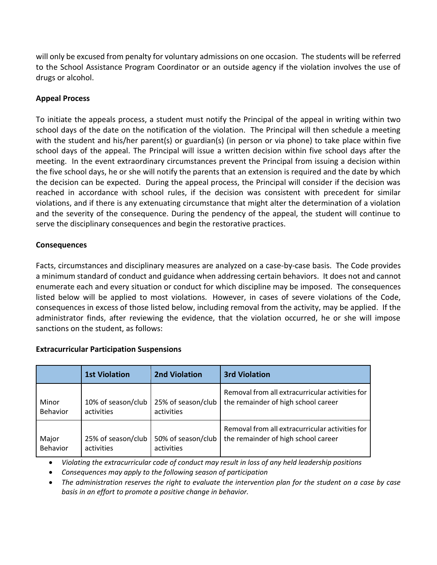will only be excused from penalty for voluntary admissions on one occasion. The students will be referred to the School Assistance Program Coordinator or an outside agency if the violation involves the use of drugs or alcohol.

# **Appeal Process**

To initiate the appeals process, a student must notify the Principal of the appeal in writing within two school days of the date on the notification of the violation. The Principal will then schedule a meeting with the student and his/her parent(s) or guardian(s) (in person or via phone) to take place within five school days of the appeal. The Principal will issue a written decision within five school days after the meeting. In the event extraordinary circumstances prevent the Principal from issuing a decision within the five school days, he or she will notify the parents that an extension is required and the date by which the decision can be expected. During the appeal process, the Principal will consider if the decision was reached in accordance with school rules, if the decision was consistent with precedent for similar violations, and if there is any extenuating circumstance that might alter the determination of a violation and the severity of the consequence. During the pendency of the appeal, the student will continue to serve the disciplinary consequences and begin the restorative practices.

# **Consequences**

Facts, circumstances and disciplinary measures are analyzed on a case-by-case basis. The Code provides a minimum standard of conduct and guidance when addressing certain behaviors. It does not and cannot enumerate each and every situation or conduct for which discipline may be imposed. The consequences listed below will be applied to most violations. However, in cases of severe violations of the Code, consequences in excess of those listed below, including removal from the activity, may be applied. If the administrator finds, after reviewing the evidence, that the violation occurred, he or she will impose sanctions on the student, as follows:

|                 | <b>1st Violation</b> | <b>2nd Violation</b> | <b>3rd Violation</b>                            |
|-----------------|----------------------|----------------------|-------------------------------------------------|
| Minor           | 10% of season/club   | 25% of season/club   | Removal from all extracurricular activities for |
| Behavior        | activities           | activities           | the remainder of high school career             |
| Major           | 25% of season/club   | 50% of season/club   | Removal from all extracurricular activities for |
| <b>Behavior</b> | activities           | activities           | the remainder of high school career             |

# **Extracurricular Participation Suspensions**

• *Violating the extracurricular code of conduct may result in loss of any held leadership positions*

• *Consequences may apply to the following season of participation*

• *The administration reserves the right to evaluate the intervention plan for the student on a case by case basis in an effort to promote a positive change in behavior.*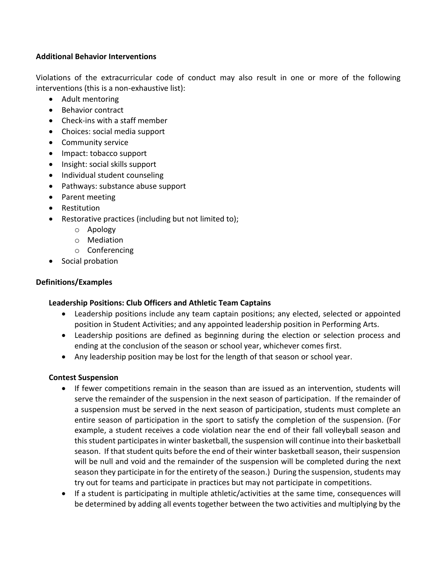#### **Additional Behavior Interventions**

Violations of the extracurricular code of conduct may also result in one or more of the following interventions (this is a non-exhaustive list):

- Adult mentoring
- Behavior contract
- Check-ins with a staff member
- Choices: social media support
- Community service
- Impact: tobacco support
- Insight: social skills support
- Individual student counseling
- Pathways: substance abuse support
- Parent meeting
- Restitution
- Restorative practices (including but not limited to);
	- o Apology
	- o Mediation
	- o Conferencing
- Social probation

# **Definitions/Examples**

# **Leadership Positions: Club Officers and Athletic Team Captains**

- Leadership positions include any team captain positions; any elected, selected or appointed position in Student Activities; and any appointed leadership position in Performing Arts.
- Leadership positions are defined as beginning during the election or selection process and ending at the conclusion of the season or school year, whichever comes first.
- Any leadership position may be lost for the length of that season or school year.

# **Contest Suspension**

- If fewer competitions remain in the season than are issued as an intervention, students will serve the remainder of the suspension in the next season of participation. If the remainder of a suspension must be served in the next season of participation, students must complete an entire season of participation in the sport to satisfy the completion of the suspension. (For example, a student receives a code violation near the end of their fall volleyball season and this student participates in winter basketball, the suspension will continue into their basketball season. If that student quits before the end of their winter basketball season, their suspension will be null and void and the remainder of the suspension will be completed during the next season they participate in for the entirety of the season.) During the suspension, students may try out for teams and participate in practices but may not participate in competitions.
- If a student is participating in multiple athletic/activities at the same time, consequences will be determined by adding all events together between the two activities and multiplying by the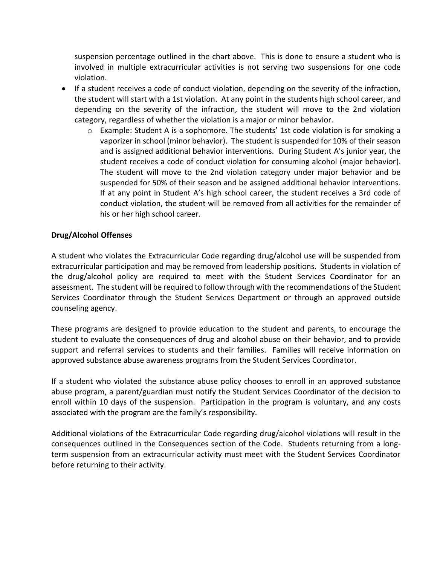suspension percentage outlined in the chart above. This is done to ensure a student who is involved in multiple extracurricular activities is not serving two suspensions for one code violation.

- If a student receives a code of conduct violation, depending on the severity of the infraction, the student will start with a 1st violation. At any point in the students high school career, and depending on the severity of the infraction, the student will move to the 2nd violation category, regardless of whether the violation is a major or minor behavior.
	- $\circ$  Example: Student A is a sophomore. The students' 1st code violation is for smoking a vaporizer in school (minor behavior). The student is suspended for 10% of their season and is assigned additional behavior interventions. During Student A's junior year, the student receives a code of conduct violation for consuming alcohol (major behavior). The student will move to the 2nd violation category under major behavior and be suspended for 50% of their season and be assigned additional behavior interventions. If at any point in Student A's high school career, the student receives a 3rd code of conduct violation, the student will be removed from all activities for the remainder of his or her high school career.

#### **Drug/Alcohol Offenses**

A student who violates the Extracurricular Code regarding drug/alcohol use will be suspended from extracurricular participation and may be removed from leadership positions. Students in violation of the drug/alcohol policy are required to meet with the Student Services Coordinator for an assessment. The student will be required to follow through with the recommendations of the Student Services Coordinator through the Student Services Department or through an approved outside counseling agency.

These programs are designed to provide education to the student and parents, to encourage the student to evaluate the consequences of drug and alcohol abuse on their behavior, and to provide support and referral services to students and their families. Families will receive information on approved substance abuse awareness programs from the Student Services Coordinator.

If a student who violated the substance abuse policy chooses to enroll in an approved substance abuse program, a parent/guardian must notify the Student Services Coordinator of the decision to enroll within 10 days of the suspension. Participation in the program is voluntary, and any costs associated with the program are the family's responsibility.

Additional violations of the Extracurricular Code regarding drug/alcohol violations will result in the consequences outlined in the Consequences section of the Code. Students returning from a longterm suspension from an extracurricular activity must meet with the Student Services Coordinator before returning to their activity.